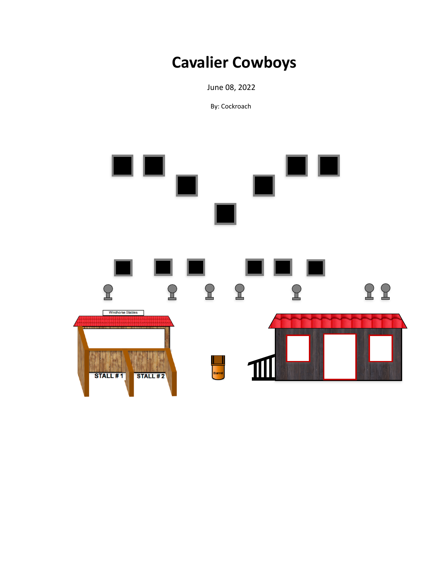# **Cavalier Cowboys**

 June 08, 2022

By: Cockroach

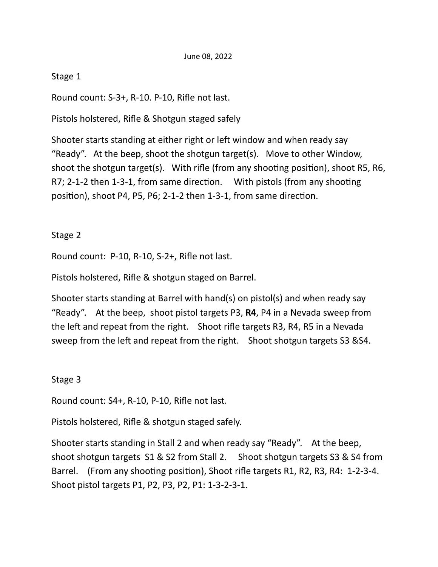### Stage 1

Round count:  $S-3+$ , R-10. P-10, Rifle not last.

Pistols holstered, Rifle & Shotgun staged safely

Shooter starts standing at either right or left window and when ready say "Ready". At the beep, shoot the shotgun target(s). Move to other Window, shoot the shotgun target(s). With rifle (from any shooting position), shoot R5, R6, R7; 2-1-2 then 1-3-1, from same direction. With pistols (from any shooting position), shoot P4, P5, P6; 2-1-2 then 1-3-1, from same direction.

# Stage 2

Round count: P-10, R-10, S-2+, Rifle not last.

Pistols holstered, Rifle & shotgun staged on Barrel.

Shooter starts standing at Barrel with hand(s) on pistol(s) and when ready say "Ready". At the beep, shoot pistol targets P3,  $R4$ , P4 in a Nevada sweep from the left and repeat from the right. Shoot rifle targets R3, R4, R5 in a Nevada sweep from the left and repeat from the right. Shoot shotgun targets S3 &S4.

### Stage 3

Round count: S4+, R-10, P-10, Rifle not last.

Pistols holstered, Rifle & shotgun staged safely.

Shooter starts standing in Stall 2 and when ready say "Ready". At the beep, shoot shotgun targets  $S1 & S2$  from Stall 2. Shoot shotgun targets S3 & S4 from Barrel. (From any shooting position), Shoot rifle targets R1, R2, R3, R4: 1-2-3-4. Shoot pistol targets P1, P2, P3, P2, P1: 1-3-2-3-1.